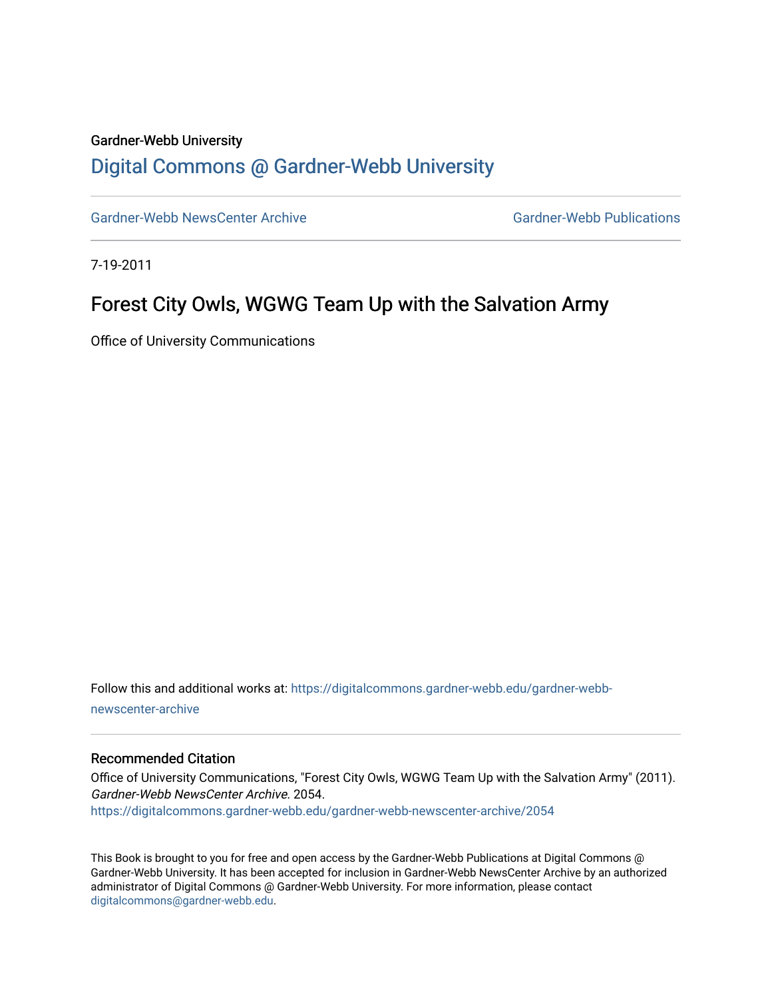#### Gardner-Webb University

## [Digital Commons @ Gardner-Webb University](https://digitalcommons.gardner-webb.edu/)

[Gardner-Webb NewsCenter Archive](https://digitalcommons.gardner-webb.edu/gardner-webb-newscenter-archive) Gardner-Webb Publications

7-19-2011

## Forest City Owls, WGWG Team Up with the Salvation Army

Office of University Communications

Follow this and additional works at: [https://digitalcommons.gardner-webb.edu/gardner-webb](https://digitalcommons.gardner-webb.edu/gardner-webb-newscenter-archive?utm_source=digitalcommons.gardner-webb.edu%2Fgardner-webb-newscenter-archive%2F2054&utm_medium=PDF&utm_campaign=PDFCoverPages)[newscenter-archive](https://digitalcommons.gardner-webb.edu/gardner-webb-newscenter-archive?utm_source=digitalcommons.gardner-webb.edu%2Fgardner-webb-newscenter-archive%2F2054&utm_medium=PDF&utm_campaign=PDFCoverPages)

#### Recommended Citation

Office of University Communications, "Forest City Owls, WGWG Team Up with the Salvation Army" (2011). Gardner-Webb NewsCenter Archive. 2054. [https://digitalcommons.gardner-webb.edu/gardner-webb-newscenter-archive/2054](https://digitalcommons.gardner-webb.edu/gardner-webb-newscenter-archive/2054?utm_source=digitalcommons.gardner-webb.edu%2Fgardner-webb-newscenter-archive%2F2054&utm_medium=PDF&utm_campaign=PDFCoverPages) 

This Book is brought to you for free and open access by the Gardner-Webb Publications at Digital Commons @ Gardner-Webb University. It has been accepted for inclusion in Gardner-Webb NewsCenter Archive by an authorized administrator of Digital Commons @ Gardner-Webb University. For more information, please contact [digitalcommons@gardner-webb.edu](mailto:digitalcommons@gardner-webb.edu).